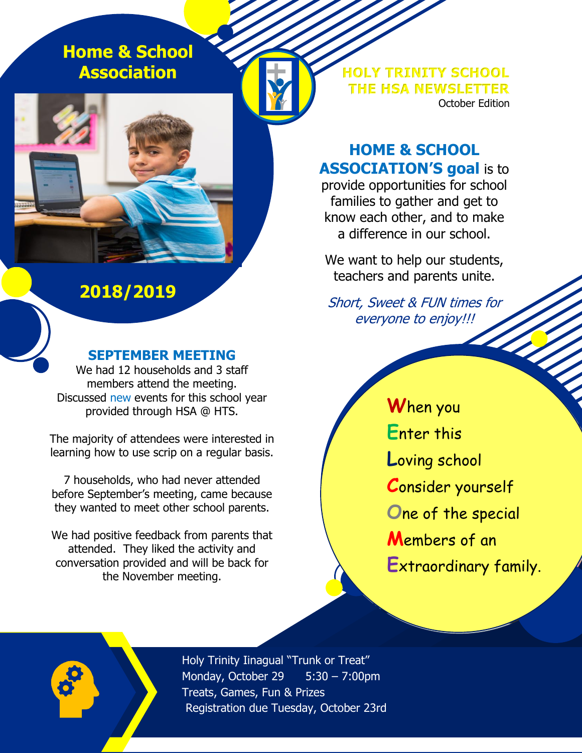**Home & School Association**

# **2018/2019**

#### **SEPTEMBER MEETING**

We had 12 households and 3 staff members attend the meeting. Discussed new events for this school year provided through HSA @ HTS.

The majority of attendees were interested in learning how to use scrip on a regular basis.

7 households, who had never attended before September's meeting, came because they wanted to meet other school parents.

We had positive feedback from parents that attended. They liked the activity and conversation provided and will be back for the November meeting.

**HOLY TRINITY SCHOOL THE HSA NEWSLETTER** October Edition

## **HOME & SCHOOL ASSOCIATION'S goal** is to

provide opportunities for school families to gather and get to know each other, and to make a difference in our school.

We want to help our students, teachers and parents unite.

Short, Sweet & FUN times for everyone to enjoy!!!

14 Milledge 1990 **W**hen you **E**nter this **L**oving school **C**onsider yourself **O**ne of the special **M**embers of an **E**xtraordinary family.



Holy Trinity Iinagual "Trunk or Treat" Monday, October 29 5:30 – 7:00pm Treats, Games, Fun & Prizes Registration due Tuesday, October 23rd